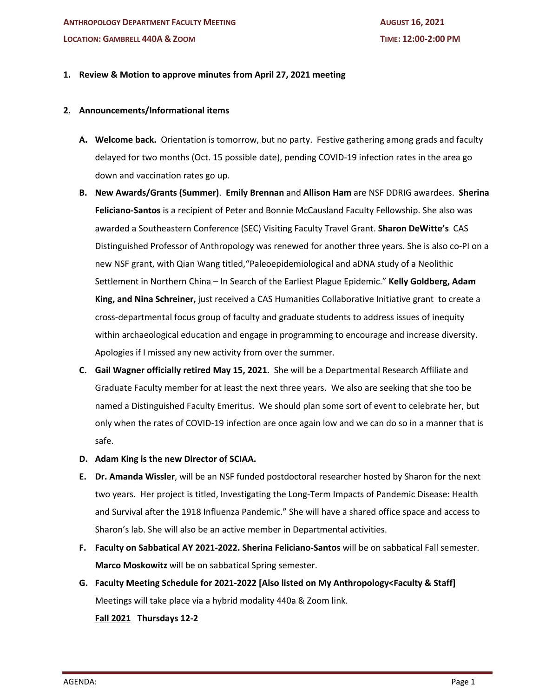# **1. Review & Motion to approve minutes from April 27, 2021 meeting**

### **2. Announcements/Informational items**

- **A. Welcome back.** Orientation is tomorrow, but no party. Festive gathering among grads and faculty delayed for two months (Oct. 15 possible date), pending COVID-19 infection rates in the area go down and vaccination rates go up.
- **B. New Awards/Grants (Summer)**. **Emily Brennan** and **Allison Ham** are NSF DDRIG awardees. **Sherina Feliciano-Santos** is a recipient of Peter and Bonnie McCausland Faculty Fellowship. She also was awarded a Southeastern Conference (SEC) Visiting Faculty Travel Grant. **Sharon DeWitte's** CAS Distinguished Professor of Anthropology was renewed for another three years. She is also co-PI on a new NSF grant, with Qian Wang titled,"Paleoepidemiological and aDNA study of a Neolithic Settlement in Northern China – In Search of the Earliest Plague Epidemic." **Kelly Goldberg, Adam King, and Nina Schreiner,** just received a CAS Humanities Collaborative Initiative grant to create a cross-departmental focus group of faculty and graduate students to address issues of inequity within archaeological education and engage in programming to encourage and increase diversity. Apologies if I missed any new activity from over the summer.
- **C. Gail Wagner officially retired May 15, 2021.** She will be a Departmental Research Affiliate and Graduate Faculty member for at least the next three years. We also are seeking that she too be named a Distinguished Faculty Emeritus. We should plan some sort of event to celebrate her, but only when the rates of COVID-19 infection are once again low and we can do so in a manner that is safe.
- **D. Adam King is the new Director of SCIAA.**
- **E. Dr. Amanda Wissler**, will be an NSF funded postdoctoral researcher hosted by Sharon for the next two years. Her project is titled, Investigating the Long-Term Impacts of Pandemic Disease: Health and Survival after the 1918 Influenza Pandemic." She will have a shared office space and access to Sharon's lab. She will also be an active member in Departmental activities.
- **F. Faculty on Sabbatical AY 2021-2022. Sherina Feliciano-Santos** will be on sabbatical Fall semester. **Marco Moskowitz** will be on sabbatical Spring semester.
- **G. Faculty Meeting Schedule for 2021-2022 [Also listed on My Anthropology<Faculty & Staff]** Meetings will take place via a hybrid modality 440a & Zoom link.

**Fall 2021 Thursdays 12-2**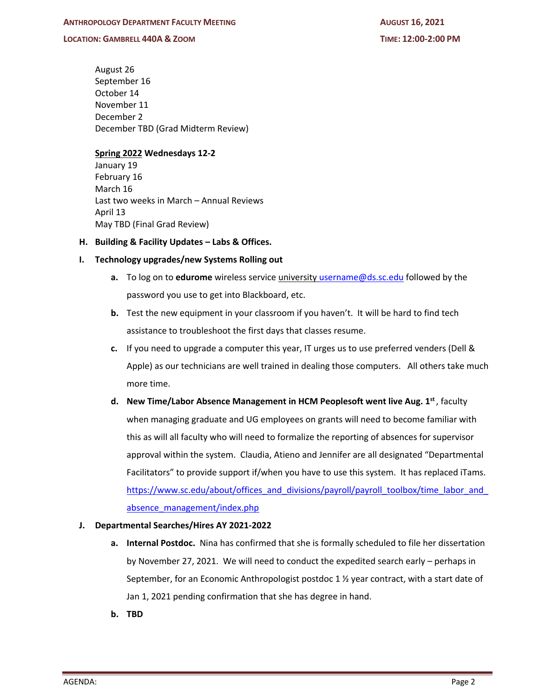#### **LOCATION: GAMBRELL 440A & ZOOM TIME: 12:00-2:00 PM**

August 26 September 16 October 14 November 11 December 2 December TBD (Grad Midterm Review)

### **Spring 2022 Wednesdays 12-2**

January 19 February 16 March 16 Last two weeks in March – Annual Reviews April 13 May TBD (Final Grad Review)

# **H. Building & Facility Updates – Labs & Offices.**

# **I. Technology upgrades/new Systems Rolling out**

- **a.** To log on to **edurome** wireless service university username@ds.sc.edu followed by the password you use to get into Blackboard, etc.
- **b.** Test the new equipment in your classroom if you haven't. It will be hard to find tech assistance to troubleshoot the first days that classes resume.
- **c.** If you need to upgrade a computer this year, IT urges us to use preferred venders (Dell & Apple) as our technicians are well trained in dealing those computers. All others take much more time.
- **d.** New Time/Labor Absence Management in HCM Peoplesoft went live Aug. 1st, faculty when managing graduate and UG employees on grants will need to become familiar with this as will all faculty who will need to formalize the reporting of absences for supervisor approval within the system. Claudia, Atieno and Jennifer are all designated "Departmental Facilitators" to provide support if/when you have to use this system. It has replaced iTams. https://www.sc.edu/about/offices\_and\_divisions/payroll/payroll\_toolbox/time\_labor\_and absence\_management/index.php

#### **J. Departmental Searches/Hires AY 2021-2022**

- **a. Internal Postdoc.** Nina has confirmed that she is formally scheduled to file her dissertation by November 27, 2021. We will need to conduct the expedited search early – perhaps in September, for an Economic Anthropologist postdoc 1  $\frac{1}{2}$  year contract, with a start date of Jan 1, 2021 pending confirmation that she has degree in hand.
- **b. TBD**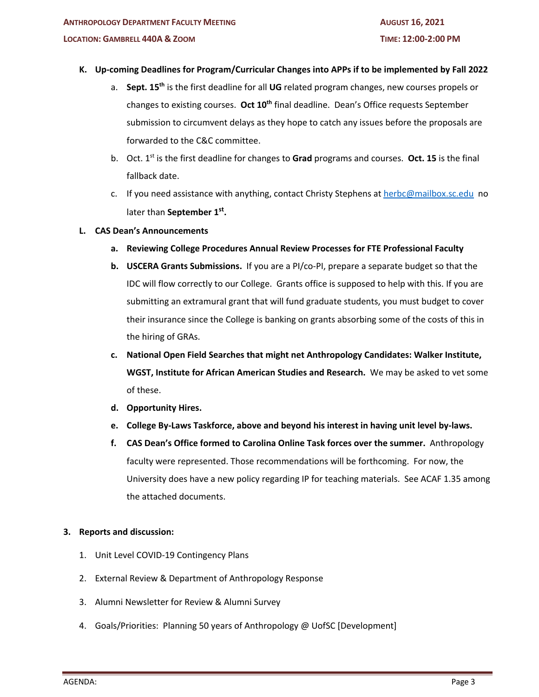# **K. Up-coming Deadlines for Program/Curricular Changes into APPs if to be implemented by Fall 2022**

- a. **Sept. 15th** is the first deadline for all **UG** related program changes, new courses propels or changes to existing courses. **Oct 10th** final deadline. Dean's Office requests September submission to circumvent delays as they hope to catch any issues before the proposals are forwarded to the C&C committee.
- b. Oct. 1st is the first deadline for changes to **Grad** programs and courses. **Oct. 15** is the final fallback date.
- c. If you need assistance with anything, contact Christy Stephens at herbc@mailbox.sc.edu no later than **September 1st.**
- **L. CAS Dean's Announcements**
	- **a. Reviewing College Procedures Annual Review Processes for FTE Professional Faculty**
	- **b. USCERA Grants Submissions.** If you are a PI/co-PI, prepare a separate budget so that the IDC will flow correctly to our College. Grants office is supposed to help with this. If you are submitting an extramural grant that will fund graduate students, you must budget to cover their insurance since the College is banking on grants absorbing some of the costs of this in the hiring of GRAs.
	- **c. National Open Field Searches that might net Anthropology Candidates: Walker Institute, WGST, Institute for African American Studies and Research.** We may be asked to vet some of these.
	- **d. Opportunity Hires.**
	- **e. College By-Laws Taskforce, above and beyond his interest in having unit level by-laws.**
	- **f. CAS Dean's Office formed to Carolina Online Task forces over the summer.** Anthropology faculty were represented. Those recommendations will be forthcoming. For now, the University does have a new policy regarding IP for teaching materials. See ACAF 1.35 among the attached documents.

# **3. Reports and discussion:**

- 1. Unit Level COVID-19 Contingency Plans
- 2. External Review & Department of Anthropology Response
- 3. Alumni Newsletter for Review & Alumni Survey
- 4. Goals/Priorities: Planning 50 years of Anthropology @ UofSC [Development]